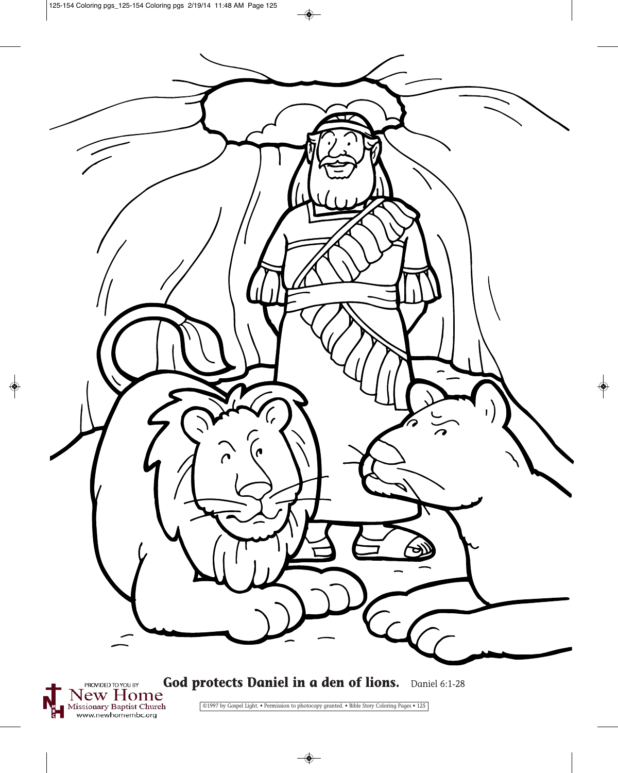